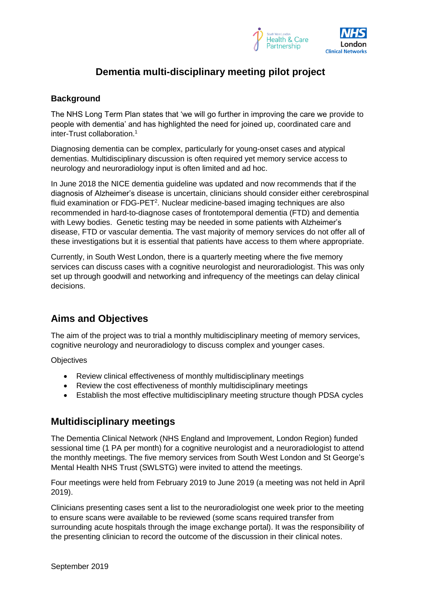

# **Dementia multi-disciplinary meeting pilot project**

### **Background**

The NHS Long Term Plan states that 'we will go further in improving the care we provide to people with dementia' and has highlighted the need for joined up, coordinated care and inter-Trust collaboration. 1

Diagnosing dementia can be complex, particularly for young-onset cases and atypical dementias. Multidisciplinary discussion is often required yet memory service access to neurology and neuroradiology input is often limited and ad hoc.

In June 2018 the NICE dementia guideline was updated and now recommends that if the diagnosis of Alzheimer's disease is uncertain, clinicians should consider either cerebrospinal fluid examination or FDG-PET<sup>2</sup>. Nuclear medicine-based imaging techniques are also recommended in hard-to-diagnose cases of frontotemporal dementia (FTD) and dementia with Lewy bodies. Genetic testing may be needed in some patients with Alzheimer's disease, FTD or vascular dementia. The vast majority of memory services do not offer all of these investigations but it is essential that patients have access to them where appropriate.

Currently, in South West London, there is a quarterly meeting where the five memory services can discuss cases with a cognitive neurologist and neuroradiologist. This was only set up through goodwill and networking and infrequency of the meetings can delay clinical decisions.

# **Aims and Objectives**

The aim of the project was to trial a monthly multidisciplinary meeting of memory services, cognitive neurology and neuroradiology to discuss complex and younger cases.

**Objectives** 

- Review clinical effectiveness of monthly multidisciplinary meetings
- Review the cost effectiveness of monthly multidisciplinary meetings
- Establish the most effective multidisciplinary meeting structure though PDSA cycles

# **Multidisciplinary meetings**

The Dementia Clinical Network (NHS England and Improvement, London Region) funded sessional time (1 PA per month) for a cognitive neurologist and a neuroradiologist to attend the monthly meetings. The five memory services from South West London and St George's Mental Health NHS Trust (SWLSTG) were invited to attend the meetings.

Four meetings were held from February 2019 to June 2019 (a meeting was not held in April 2019).

Clinicians presenting cases sent a list to the neuroradiologist one week prior to the meeting to ensure scans were available to be reviewed (some scans required transfer from surrounding acute hospitals through the image exchange portal). It was the responsibility of the presenting clinician to record the outcome of the discussion in their clinical notes.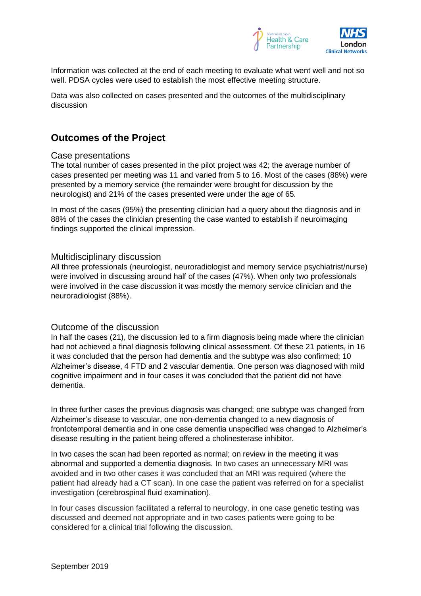

Information was collected at the end of each meeting to evaluate what went well and not so well. PDSA cycles were used to establish the most effective meeting structure.

Data was also collected on cases presented and the outcomes of the multidisciplinary discussion

## **Outcomes of the Project**

#### Case presentations

The total number of cases presented in the pilot project was 42; the average number of cases presented per meeting was 11 and varied from 5 to 16. Most of the cases (88%) were presented by a memory service (the remainder were brought for discussion by the neurologist) and 21% of the cases presented were under the age of 65.

In most of the cases (95%) the presenting clinician had a query about the diagnosis and in 88% of the cases the clinician presenting the case wanted to establish if neuroimaging findings supported the clinical impression.

#### Multidisciplinary discussion

All three professionals (neurologist, neuroradiologist and memory service psychiatrist/nurse) were involved in discussing around half of the cases (47%). When only two professionals were involved in the case discussion it was mostly the memory service clinician and the neuroradiologist (88%).

#### Outcome of the discussion

In half the cases (21), the discussion led to a firm diagnosis being made where the clinician had not achieved a final diagnosis following clinical assessment. Of these 21 patients, in 16 it was concluded that the person had dementia and the subtype was also confirmed; 10 Alzheimer's disease, 4 FTD and 2 vascular dementia. One person was diagnosed with mild cognitive impairment and in four cases it was concluded that the patient did not have dementia.

In three further cases the previous diagnosis was changed; one subtype was changed from Alzheimer's disease to vascular, one non-dementia changed to a new diagnosis of frontotemporal dementia and in one case dementia unspecified was changed to Alzheimer's disease resulting in the patient being offered a cholinesterase inhibitor.

In two cases the scan had been reported as normal; on review in the meeting it was abnormal and supported a dementia diagnosis. In two cases an unnecessary MRI was avoided and in two other cases it was concluded that an MRI was required (where the patient had already had a CT scan). In one case the patient was referred on for a specialist investigation (cerebrospinal fluid examination).

In four cases discussion facilitated a referral to neurology, in one case genetic testing was discussed and deemed not appropriate and in two cases patients were going to be considered for a clinical trial following the discussion.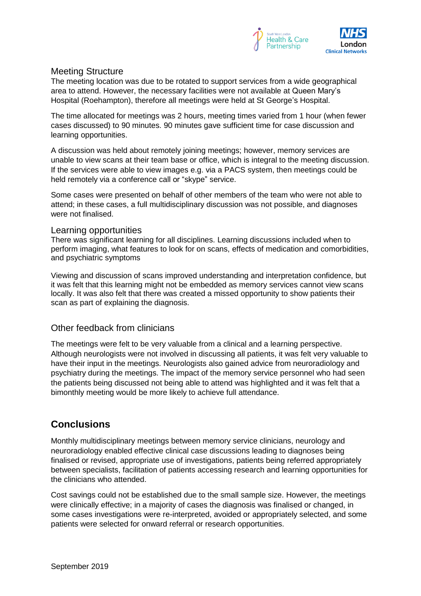

### Meeting Structure

The meeting location was due to be rotated to support services from a wide geographical area to attend. However, the necessary facilities were not available at Queen Mary's Hospital (Roehampton), therefore all meetings were held at St George's Hospital.

The time allocated for meetings was 2 hours, meeting times varied from 1 hour (when fewer cases discussed) to 90 minutes. 90 minutes gave sufficient time for case discussion and learning opportunities.

A discussion was held about remotely joining meetings; however, memory services are unable to view scans at their team base or office, which is integral to the meeting discussion. If the services were able to view images e.g. via a PACS system, then meetings could be held remotely via a conference call or "skype" service.

Some cases were presented on behalf of other members of the team who were not able to attend; in these cases, a full multidisciplinary discussion was not possible, and diagnoses were not finalised.

#### Learning opportunities

There was significant learning for all disciplines. Learning discussions included when to perform imaging, what features to look for on scans, effects of medication and comorbidities, and psychiatric symptoms

Viewing and discussion of scans improved understanding and interpretation confidence, but it was felt that this learning might not be embedded as memory services cannot view scans locally. It was also felt that there was created a missed opportunity to show patients their scan as part of explaining the diagnosis.

### Other feedback from clinicians

The meetings were felt to be very valuable from a clinical and a learning perspective. Although neurologists were not involved in discussing all patients, it was felt very valuable to have their input in the meetings. Neurologists also gained advice from neuroradiology and psychiatry during the meetings. The impact of the memory service personnel who had seen the patients being discussed not being able to attend was highlighted and it was felt that a bimonthly meeting would be more likely to achieve full attendance.

# **Conclusions**

Monthly multidisciplinary meetings between memory service clinicians, neurology and neuroradiology enabled effective clinical case discussions leading to diagnoses being finalised or revised, appropriate use of investigations, patients being referred appropriately between specialists, facilitation of patients accessing research and learning opportunities for the clinicians who attended.

Cost savings could not be established due to the small sample size. However, the meetings were clinically effective; in a majority of cases the diagnosis was finalised or changed, in some cases investigations were re-interpreted, avoided or appropriately selected, and some patients were selected for onward referral or research opportunities.